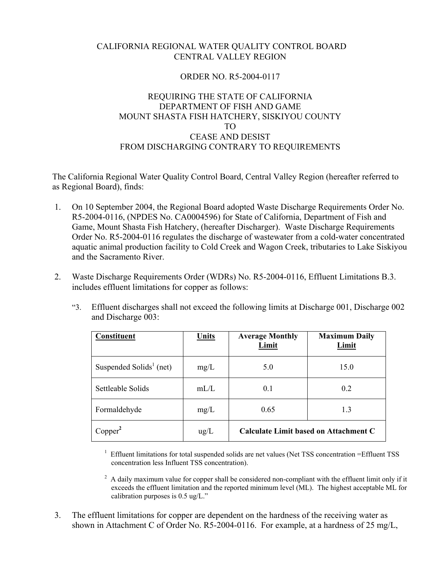## CALIFORNIA REGIONAL WATER QUALITY CONTROL BOARD CENTRAL VALLEY REGION

## ORDER NO. R5-2004-0117

## REQUIRING THE STATE OF CALIFORNIA DEPARTMENT OF FISH AND GAME MOUNT SHASTA FISH HATCHERY, SISKIYOU COUNTY TO CEASE AND DESIST FROM DISCHARGING CONTRARY TO REQUIREMENTS

The California Regional Water Quality Control Board, Central Valley Region (hereafter referred to as Regional Board), finds:

- 1. On 10 September 2004, the Regional Board adopted Waste Discharge Requirements Order No. R5-2004-0116, (NPDES No. CA0004596) for State of California, Department of Fish and Game, Mount Shasta Fish Hatchery, (hereafter Discharger). Waste Discharge Requirements Order No. R5-2004-0116 regulates the discharge of wastewater from a cold-water concentrated aquatic animal production facility to Cold Creek and Wagon Creek, tributaries to Lake Siskiyou and the Sacramento River.
- 2. Waste Discharge Requirements Order (WDRs) No. R5-2004-0116, Effluent Limitations B.3. includes effluent limitations for copper as follows:
	- "3. Effluent discharges shall not exceed the following limits at Discharge 001, Discharge 002 and Discharge 003:

| Constituent                         | <b>Units</b>  | <b>Average Monthly</b><br>Limit       | <b>Maximum Daily</b><br>Limit |
|-------------------------------------|---------------|---------------------------------------|-------------------------------|
| Suspended Solids <sup>1</sup> (net) | mg/L          | 5.0                                   | 15.0                          |
| Settleable Solids                   | mL/L          | 0.1                                   | 0.2                           |
| Formaldehyde                        | mg/L          | 0.65                                  | 1.3                           |
| Copper <sup>2</sup>                 | $\text{ug/L}$ | Calculate Limit based on Attachment C |                               |

<sup>1</sup> Effluent limitations for total suspended solids are net values (Net TSS concentration =Effluent TSS concentration less Influent TSS concentration).

 $2$  A daily maximum value for copper shall be considered non-compliant with the effluent limit only if it exceeds the effluent limitation and the reported minimum level (ML). The highest acceptable ML for calibration purposes is 0.5 ug/L."

 3. The effluent limitations for copper are dependent on the hardness of the receiving water as shown in Attachment C of Order No. R5-2004-0116. For example, at a hardness of 25 mg/L,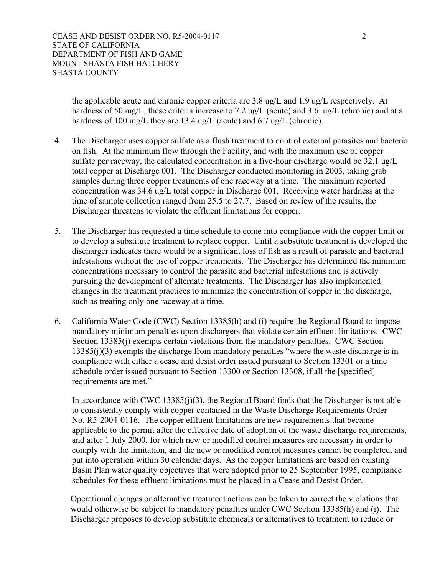the applicable acute and chronic copper criteria are 3.8 ug/L and 1.9 ug/L respectively. At hardness of 50 mg/L, these criteria increase to 7.2 ug/L (acute) and 3.6 ug/L (chronic) and at a hardness of 100 mg/L they are 13.4 ug/L (acute) and 6.7 ug/L (chronic).

- 4. The Discharger uses copper sulfate as a flush treatment to control external parasites and bacteria on fish. At the minimum flow through the Facility, and with the maximum use of copper sulfate per raceway, the calculated concentration in a five-hour discharge would be 32.1 ug/L total copper at Discharge 001. The Discharger conducted monitoring in 2003, taking grab samples during three copper treatments of one raceway at a time. The maximum reported concentration was 34.6 ug/L total copper in Discharge 001. Receiving water hardness at the time of sample collection ranged from 25.5 to 27.7. Based on review of the results, the Discharger threatens to violate the effluent limitations for copper.
- 5. The Discharger has requested a time schedule to come into compliance with the copper limit or to develop a substitute treatment to replace copper. Until a substitute treatment is developed the discharger indicates there would be a significant loss of fish as a result of parasite and bacterial infestations without the use of copper treatments. The Discharger has determined the minimum concentrations necessary to control the parasite and bacterial infestations and is actively pursuing the development of alternate treatments. The Discharger has also implemented changes in the treatment practices to minimize the concentration of copper in the discharge, such as treating only one raceway at a time.
- 6. California Water Code (CWC) Section 13385(h) and (i) require the Regional Board to impose mandatory minimum penalties upon dischargers that violate certain effluent limitations. CWC Section 13385(j) exempts certain violations from the mandatory penalties. CWC Section 13385(j)(3) exempts the discharge from mandatory penalties "where the waste discharge is in compliance with either a cease and desist order issued pursuant to Section 13301 or a time schedule order issued pursuant to Section 13300 or Section 13308, if all the [specified] requirements are met."

 In accordance with CWC 13385(j)(3), the Regional Board finds that the Discharger is not able to consistently comply with copper contained in the Waste Discharge Requirements Order No. R5-2004-0116. The copper effluent limitations are new requirements that became applicable to the permit after the effective date of adoption of the waste discharge requirements, and after 1 July 2000, for which new or modified control measures are necessary in order to comply with the limitation, and the new or modified control measures cannot be completed, and put into operation within 30 calendar days. As the copper limitations are based on existing Basin Plan water quality objectives that were adopted prior to 25 September 1995, compliance schedules for these effluent limitations must be placed in a Cease and Desist Order.

Operational changes or alternative treatment actions can be taken to correct the violations that would otherwise be subject to mandatory penalties under CWC Section 13385(h) and (i). The Discharger proposes to develop substitute chemicals or alternatives to treatment to reduce or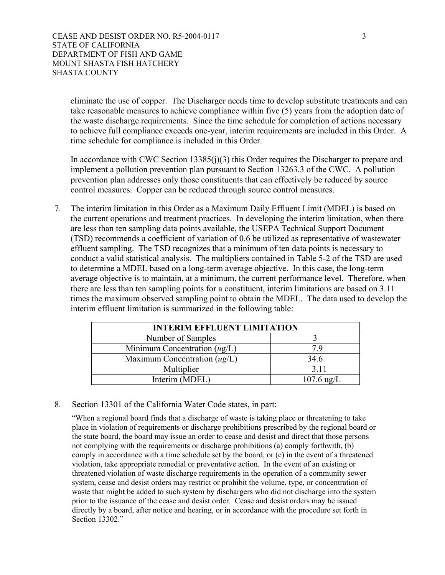eliminate the use of copper. The Discharger needs time to develop substitute treatments and can take reasonable measures to achieve compliance within five (5) years from the adoption date of the waste discharge requirements. Since the time schedule for completion of actions necessary to achieve full compliance exceeds one-year, interim requirements are included in this Order. A time schedule for compliance is included in this Order.

In accordance with CWC Section 13385(j)(3) this Order requires the Discharger to prepare and implement a pollution prevention plan pursuant to Section 13263.3 of the CWC. A pollution prevention plan addresses only those constituents that can effectively be reduced by source control measures. Copper can be reduced through source control measures.

 7. The interim limitation in this Order as a Maximum Daily Effluent Limit (MDEL) is based on the current operations and treatment practices. In developing the interim limitation, when there are less than ten sampling data points available, the USEPA Technical Support Document (TSD) recommends a coefficient of variation of 0.6 be utilized as representative of wastewater effluent sampling. The TSD recognizes that a minimum of ten data points is necessary to conduct a valid statistical analysis. The multipliers contained in Table 5-2 of the TSD are used to determine a MDEL based on a long-term average objective. In this case, the long-term average objective is to maintain, at a minimum, the current performance level. Therefore, when there are less than ten sampling points for a constituent, interim limitations are based on 3.11 times the maximum observed sampling point to obtain the MDEL. The data used to develop the interim effluent limitation is summarized in the following table:

| <b>INTERIM EFFLUENT LIMITATION</b> |                      |  |
|------------------------------------|----------------------|--|
| Number of Samples                  |                      |  |
| Minimum Concentration $(ug/L)$     | 7 Q                  |  |
| Maximum Concentration $(ug/L)$     | 34.6                 |  |
| Multiplier                         | 3.11                 |  |
| Interim (MDEL)                     | $107.6 \text{ ug/L}$ |  |

8. Section 13301 of the California Water Code states, in part:

"When a regional board finds that a discharge of waste is taking place or threatening to take place in violation of requirements or discharge prohibitions prescribed by the regional board or the state board, the board may issue an order to cease and desist and direct that those persons not complying with the requirements or discharge prohibitions (a) comply forthwith, (b) comply in accordance with a time schedule set by the board, or (c) in the event of a threatened violation, take appropriate remedial or preventative action. In the event of an existing or threatened violation of waste discharge requirements in the operation of a community sewer system, cease and desist orders may restrict or prohibit the volume, type, or concentration of waste that might be added to such system by dischargers who did not discharge into the system prior to the issuance of the cease and desist order. Cease and desist orders may be issued directly by a board, after notice and hearing, or in accordance with the procedure set forth in Section 13302."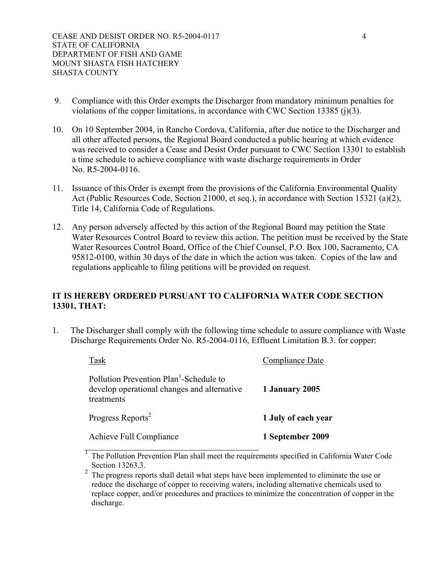- 9. Compliance with this Order exempts the Discharger from mandatory minimum penalties for violations of the copper limitations, in accordance with CWC Section 13385 (j)(3).
- 10. On 10 September 2004, in Rancho Cordova, California, after due notice to the Discharger and all other affected persons, the Regional Board conducted a public hearing at which evidence was received to consider a Cease and Desist Order pursuant to CWC Section 13301 to establish a time schedule to achieve compliance with waste discharge requirements in Order No. R5-2004-0116.
- 11. Issuance of this Order is exempt from the provisions of the California Environmental Quality Act (Public Resources Code, Section 21000, et seq.), in accordance with Section 15321 (a)(2), Title 14, California Code of Regulations.
- 12. Any person adversely affected by this action of the Regional Board may petition the State Water Resources Control Board to review this action. The petition must be received by the State Water Resources Control Board, Office of the Chief Counsel, P.O. Box 100, Sacramento, CA 95812-0100, within 30 days of the date in which the action was taken. Copies of the law and regulations applicable to filing petitions will be provided on request.

## **IT IS HEREBY ORDERED PURSUANT TO CALIFORNIA WATER CODE SECTION 13301, THAT:**

1. The Discharger shall comply with the following time schedule to assure compliance with Waste Discharge Requirements Order No. R5-2004-0116, Effluent Limitation B.3. for copper:

| Task                                                                                                             | Compliance Date     |
|------------------------------------------------------------------------------------------------------------------|---------------------|
| Pollution Prevention Plan <sup>1</sup> -Schedule to<br>develop operational changes and alternative<br>treatments | 1 January 2005      |
| Progress Reports <sup>2</sup>                                                                                    | 1 July of each year |
| <b>Achieve Full Compliance</b>                                                                                   | 1 September 2009    |
|                                                                                                                  |                     |

 $<sup>1</sup>$  The Pollution Prevention Plan shall meet the requirements specified in California Water Code</sup> Section 13263.3.

 $2\degree$  The progress reports shall detail what steps have been implemented to eliminate the use or reduce the discharge of copper to receiving waters, including alternative chemicals used to replace copper, and/or procedures and practices to minimize the concentration of copper in the discharge.